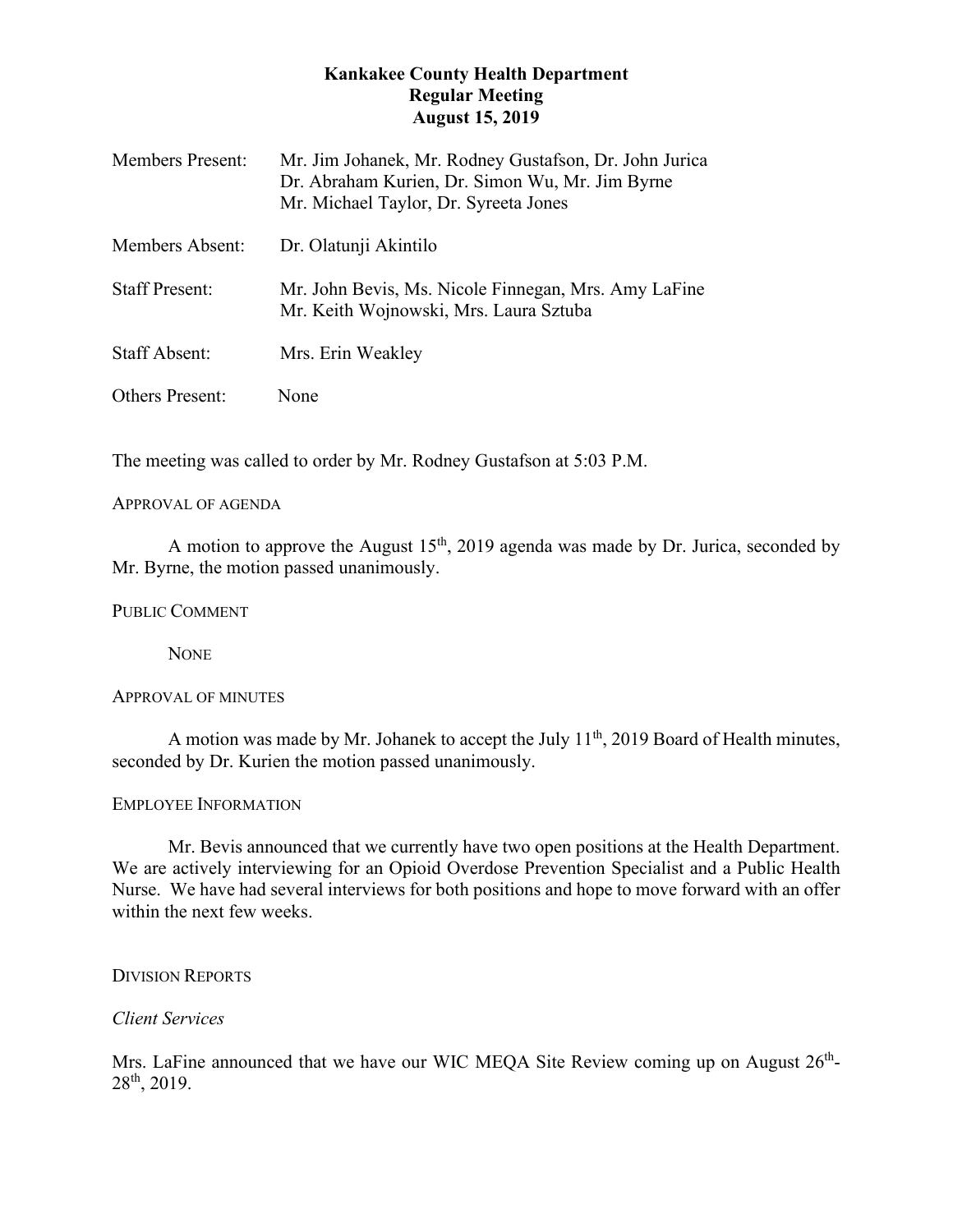# **Kankakee County Health Department Regular Meeting August 15, 2019**

| <b>Members Present:</b> | Mr. Jim Johanek, Mr. Rodney Gustafson, Dr. John Jurica<br>Dr. Abraham Kurien, Dr. Simon Wu, Mr. Jim Byrne<br>Mr. Michael Taylor, Dr. Syreeta Jones |
|-------------------------|----------------------------------------------------------------------------------------------------------------------------------------------------|
| Members Absent:         | Dr. Olatunji Akintilo                                                                                                                              |
| <b>Staff Present:</b>   | Mr. John Bevis, Ms. Nicole Finnegan, Mrs. Amy LaFine<br>Mr. Keith Wojnowski, Mrs. Laura Sztuba                                                     |
| <b>Staff Absent:</b>    | Mrs. Erin Weakley                                                                                                                                  |
| <b>Others Present:</b>  | None                                                                                                                                               |

The meeting was called to order by Mr. Rodney Gustafson at 5:03 P.M.

# APPROVAL OF AGENDA

A motion to approve the August  $15<sup>th</sup>$ , 2019 agenda was made by Dr. Jurica, seconded by Mr. Byrne, the motion passed unanimously.

### PUBLIC COMMENT

**NONE** 

# APPROVAL OF MINUTES

A motion was made by Mr. Johanek to accept the July  $11<sup>th</sup>$ , 2019 Board of Health minutes, seconded by Dr. Kurien the motion passed unanimously.

### EMPLOYEE INFORMATION

Mr. Bevis announced that we currently have two open positions at the Health Department. We are actively interviewing for an Opioid Overdose Prevention Specialist and a Public Health Nurse. We have had several interviews for both positions and hope to move forward with an offer within the next few weeks.

# DIVISION REPORTS

# *Client Services*

Mrs. LaFine announced that we have our WIC MEQA Site Review coming up on August  $26<sup>th</sup>$ -28th, 2019.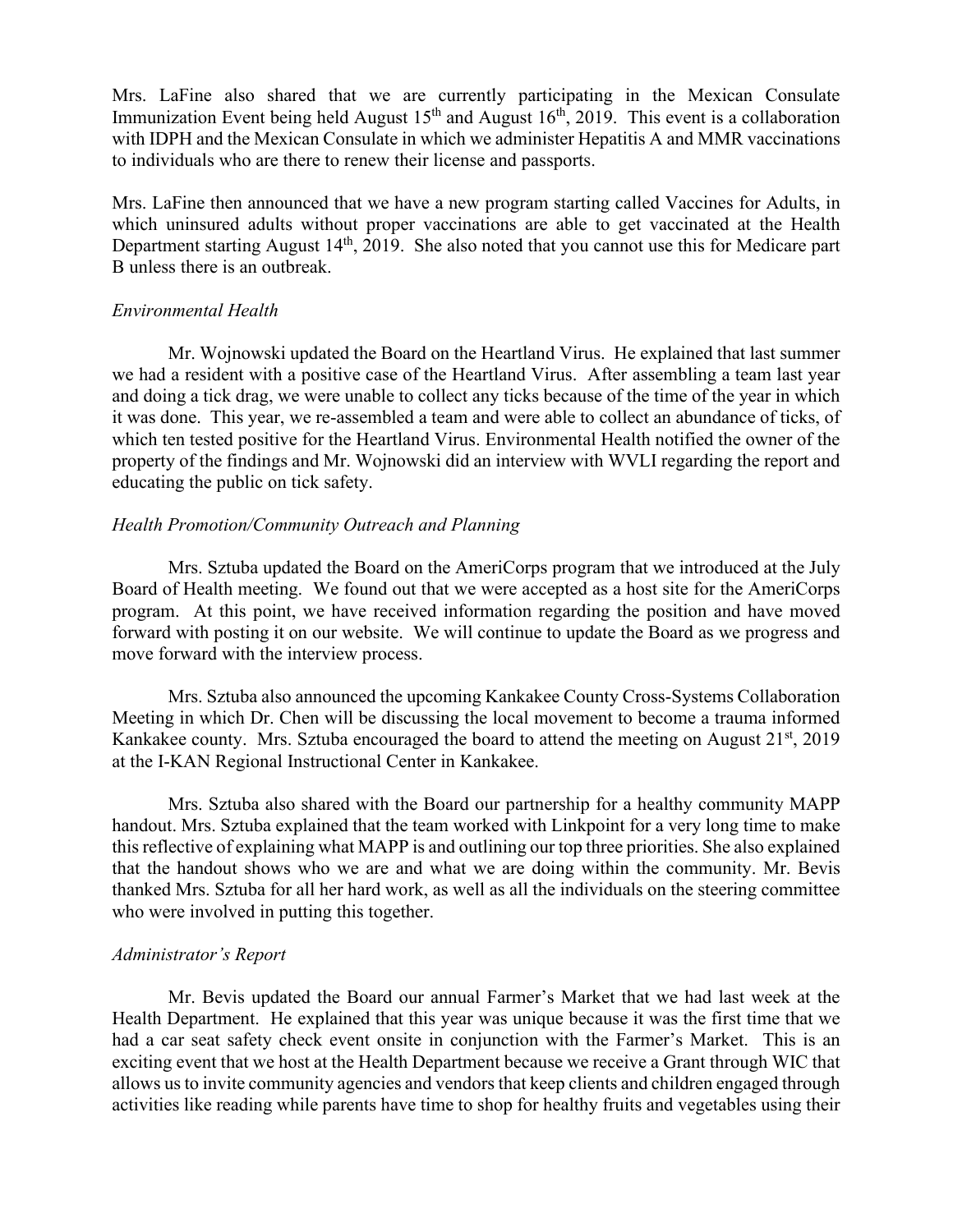Mrs. LaFine also shared that we are currently participating in the Mexican Consulate Immunization Event being held August  $15<sup>th</sup>$  and August  $16<sup>th</sup>$ , 2019. This event is a collaboration with IDPH and the Mexican Consulate in which we administer Hepatitis A and MMR vaccinations to individuals who are there to renew their license and passports.

Mrs. LaFine then announced that we have a new program starting called Vaccines for Adults, in which uninsured adults without proper vaccinations are able to get vaccinated at the Health Department starting August 14<sup>th</sup>, 2019. She also noted that you cannot use this for Medicare part B unless there is an outbreak.

### *Environmental Health*

Mr. Wojnowski updated the Board on the Heartland Virus. He explained that last summer we had a resident with a positive case of the Heartland Virus. After assembling a team last year and doing a tick drag, we were unable to collect any ticks because of the time of the year in which it was done. This year, we re-assembled a team and were able to collect an abundance of ticks, of which ten tested positive for the Heartland Virus. Environmental Health notified the owner of the property of the findings and Mr. Wojnowski did an interview with WVLI regarding the report and educating the public on tick safety.

### *Health Promotion/Community Outreach and Planning*

Mrs. Sztuba updated the Board on the AmeriCorps program that we introduced at the July Board of Health meeting. We found out that we were accepted as a host site for the AmeriCorps program. At this point, we have received information regarding the position and have moved forward with posting it on our website. We will continue to update the Board as we progress and move forward with the interview process.

Mrs. Sztuba also announced the upcoming Kankakee County Cross-Systems Collaboration Meeting in which Dr. Chen will be discussing the local movement to become a trauma informed Kankakee county. Mrs. Sztuba encouraged the board to attend the meeting on August  $21<sup>st</sup>$ , 2019 at the I-KAN Regional Instructional Center in Kankakee.

Mrs. Sztuba also shared with the Board our partnership for a healthy community MAPP handout. Mrs. Sztuba explained that the team worked with Linkpoint for a very long time to make this reflective of explaining what MAPP is and outlining our top three priorities. She also explained that the handout shows who we are and what we are doing within the community. Mr. Bevis thanked Mrs. Sztuba for all her hard work, as well as all the individuals on the steering committee who were involved in putting this together.

### *Administrator's Report*

Mr. Bevis updated the Board our annual Farmer's Market that we had last week at the Health Department. He explained that this year was unique because it was the first time that we had a car seat safety check event onsite in conjunction with the Farmer's Market. This is an exciting event that we host at the Health Department because we receive a Grant through WIC that allows us to invite community agencies and vendors that keep clients and children engaged through activities like reading while parents have time to shop for healthy fruits and vegetables using their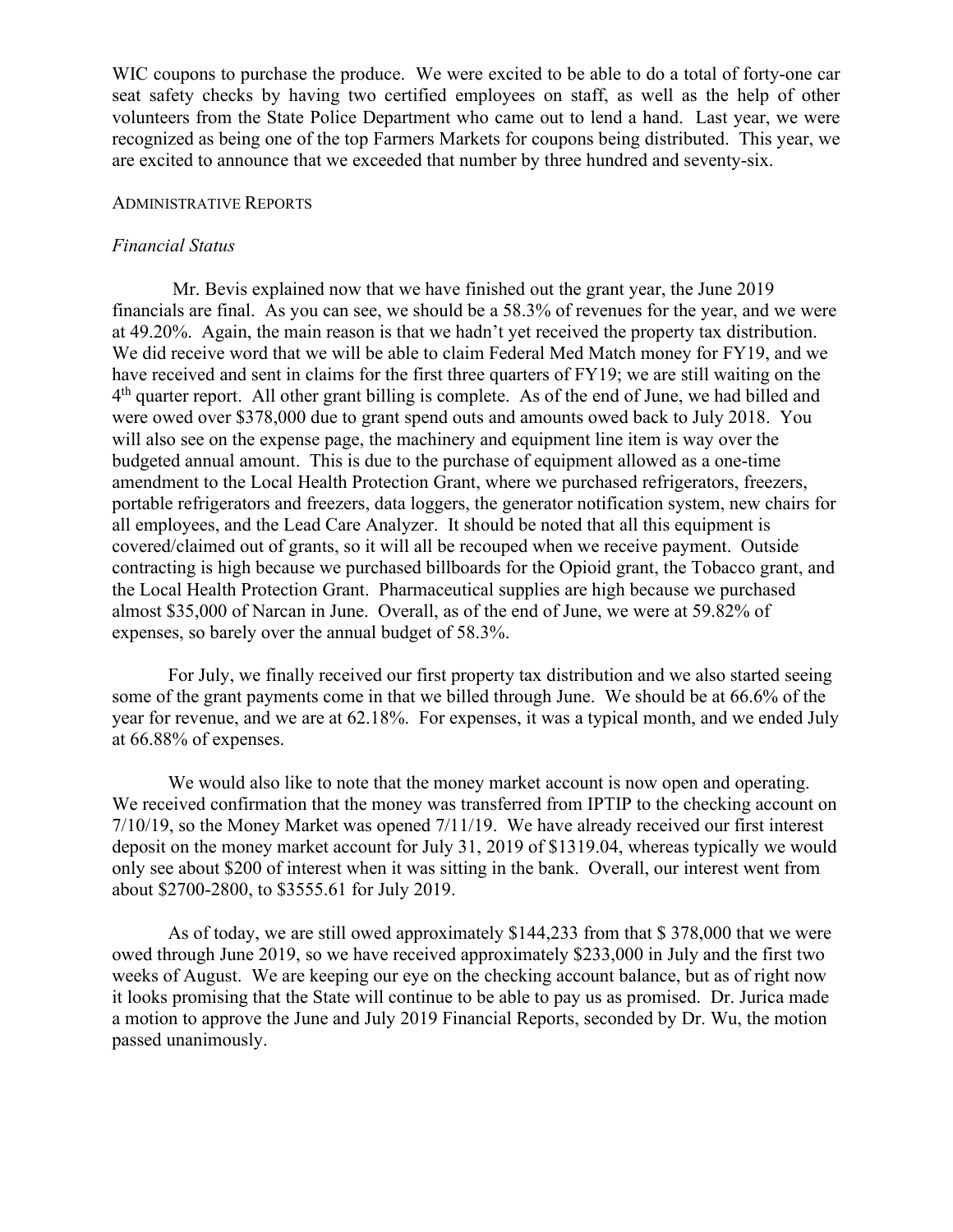WIC coupons to purchase the produce. We were excited to be able to do a total of forty-one car seat safety checks by having two certified employees on staff, as well as the help of other volunteers from the State Police Department who came out to lend a hand. Last year, we were recognized as being one of the top Farmers Markets for coupons being distributed. This year, we are excited to announce that we exceeded that number by three hundred and seventy-six.

#### ADMINISTRATIVE REPORTS

### *Financial Status*

Mr. Bevis explained now that we have finished out the grant year, the June 2019 financials are final. As you can see, we should be a 58.3% of revenues for the year, and we were at 49.20%. Again, the main reason is that we hadn't yet received the property tax distribution. We did receive word that we will be able to claim Federal Med Match money for FY19, and we have received and sent in claims for the first three quarters of FY19; we are still waiting on the  $4<sup>th</sup>$  quarter report. All other grant billing is complete. As of the end of June, we had billed and were owed over \$378,000 due to grant spend outs and amounts owed back to July 2018. You will also see on the expense page, the machinery and equipment line item is way over the budgeted annual amount. This is due to the purchase of equipment allowed as a one-time amendment to the Local Health Protection Grant, where we purchased refrigerators, freezers, portable refrigerators and freezers, data loggers, the generator notification system, new chairs for all employees, and the Lead Care Analyzer. It should be noted that all this equipment is covered/claimed out of grants, so it will all be recouped when we receive payment. Outside contracting is high because we purchased billboards for the Opioid grant, the Tobacco grant, and the Local Health Protection Grant. Pharmaceutical supplies are high because we purchased almost \$35,000 of Narcan in June. Overall, as of the end of June, we were at 59.82% of expenses, so barely over the annual budget of 58.3%.

For July, we finally received our first property tax distribution and we also started seeing some of the grant payments come in that we billed through June. We should be at 66.6% of the year for revenue, and we are at 62.18%. For expenses, it was a typical month, and we ended July at 66.88% of expenses.

We would also like to note that the money market account is now open and operating. We received confirmation that the money was transferred from IPTIP to the checking account on 7/10/19, so the Money Market was opened 7/11/19. We have already received our first interest deposit on the money market account for July 31, 2019 of \$1319.04, whereas typically we would only see about \$200 of interest when it was sitting in the bank. Overall, our interest went from about \$2700-2800, to \$3555.61 for July 2019.

As of today, we are still owed approximately \$144,233 from that \$ 378,000 that we were owed through June 2019, so we have received approximately \$233,000 in July and the first two weeks of August. We are keeping our eye on the checking account balance, but as of right now it looks promising that the State will continue to be able to pay us as promised. Dr. Jurica made a motion to approve the June and July 2019 Financial Reports, seconded by Dr. Wu, the motion passed unanimously.